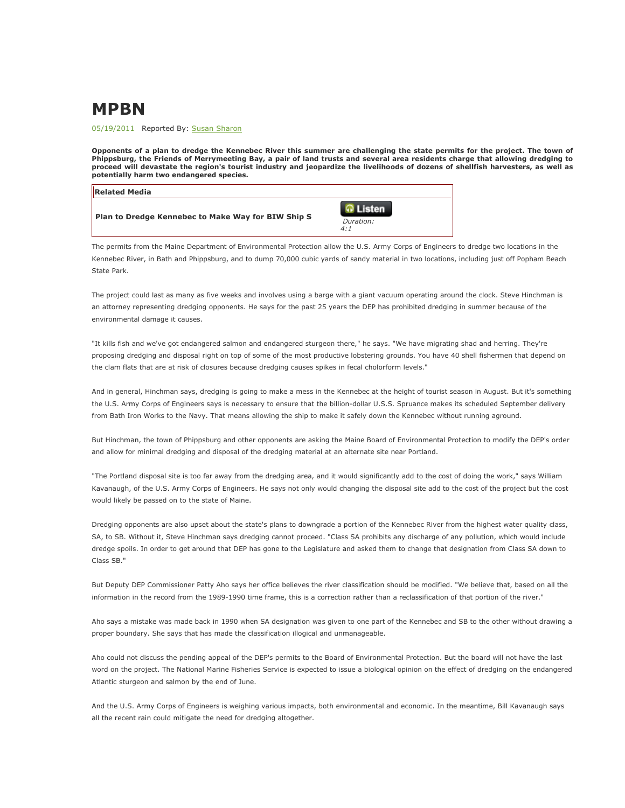## MPBN

05/19/2011 Reported By: Susan Sharon

Opponents of a plan to dredge the Kennebec River this summer are challenging the state permits for the project. The town of Phippsburg, the Friends of Merrymeeting Bay, a pair of land trusts and several area residents charge that allowing dredging to proceed will devastate the region's tourist industry and jeopardize the livelihoods of dozens of shellfish harvesters, as well as potentially harm two endangered species.

| <b>Related Media</b>                                      |                           |
|-----------------------------------------------------------|---------------------------|
| <b>Plan to Dredge Kennebec to Make Way for BIW Ship S</b> | isten<br>Duration:<br>4:1 |

The permits from the Maine Department of Environmental Protection allow the U.S. Army Corps of Engineers to dredge two locations in the Kennebec River, in Bath and Phippsburg, and to dump 70,000 cubic yards of sandy material in two locations, including just off Popham Beach State Park.

The project could last as many as five weeks and involves using a barge with a giant vacuum operating around the clock. Steve Hinchman is an attorney representing dredging opponents. He says for the past 25 years the DEP has prohibited dredging in summer because of the environmental damage it causes.

"It kills fish and we've got endangered salmon and endangered sturgeon there," he says. "We have migrating shad and herring. They're proposing dredging and disposal right on top of some of the most productive lobstering grounds. You have 40 shell fishermen that depend on the clam flats that are at risk of closures because dredging causes spikes in fecal cholorform levels."

And in general, Hinchman says, dredging is going to make a mess in the Kennebec at the height of tourist season in August. But it's something the U.S. Army Corps of Engineers says is necessary to ensure that the billion-dollar U.S.S. Spruance makes its scheduled September delivery from Bath Iron Works to the Navy. That means allowing the ship to make it safely down the Kennebec without running aground.

But Hinchman, the town of Phippsburg and other opponents are asking the Maine Board of Environmental Protection to modify the DEP's order and allow for minimal dredging and disposal of the dredging material at an alternate site near Portland.

"The Portland disposal site is too far away from the dredging area, and it would significantly add to the cost of doing the work," says William Kavanaugh, of the U.S. Army Corps of Engineers. He says not only would changing the disposal site add to the cost of the project but the cost would likely be passed on to the state of Maine.

Dredging opponents are also upset about the state's plans to downgrade a portion of the Kennebec River from the highest water quality class, SA, to SB. Without it, Steve Hinchman says dredging cannot proceed. "Class SA prohibits any discharge of any pollution, which would include dredge spoils. In order to get around that DEP has gone to the Legislature and asked them to change that designation from Class SA down to Class SB."

But Deputy DEP Commissioner Patty Aho says her office believes the river classification should be modified. "We believe that, based on all the information in the record from the 1989-1990 time frame, this is a correction rather than a reclassification of that portion of the river."

Aho says a mistake was made back in 1990 when SA designation was given to one part of the Kennebec and SB to the other without drawing a proper boundary. She says that has made the classification illogical and unmanageable.

Aho could not discuss the pending appeal of the DEP's permits to the Board of Environmental Protection. But the board will not have the last word on the project. The National Marine Fisheries Service is expected to issue a biological opinion on the effect of dredging on the endangered Atlantic sturgeon and salmon by the end of June.

And the U.S. Army Corps of Engineers is weighing various impacts, both environmental and economic. In the meantime, Bill Kavanaugh says all the recent rain could mitigate the need for dredging altogether.